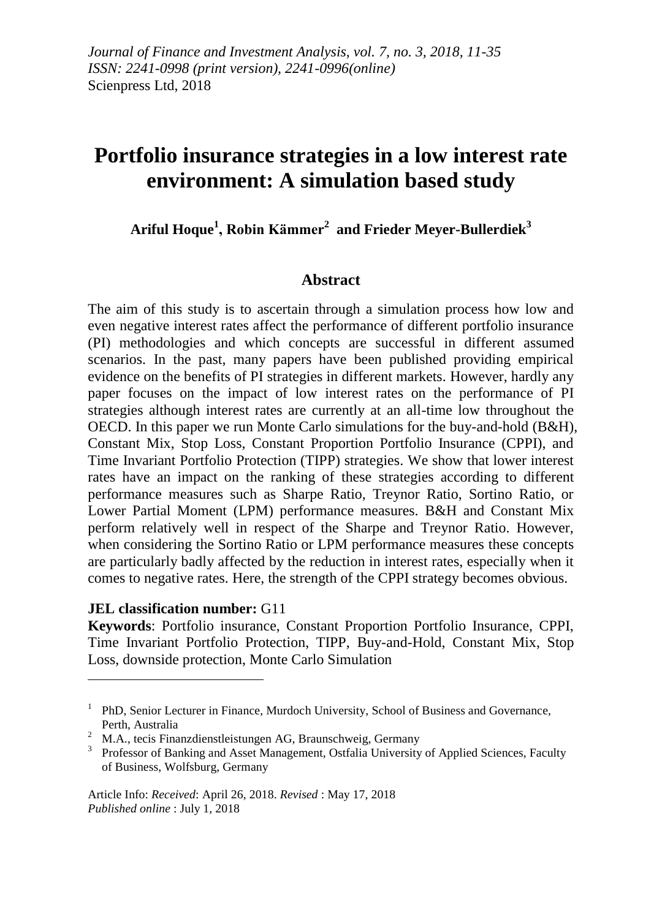# **Portfolio insurance strategies in a low interest rate environment: A simulation based study**

**Ariful Hoque<sup>1</sup> , Robin Kämmer<sup>2</sup> and Frieder Meyer-Bullerdiek<sup>3</sup>**

### **Abstract**

The aim of this study is to ascertain through a simulation process how low and even negative interest rates affect the performance of different portfolio insurance (PI) methodologies and which concepts are successful in different assumed scenarios. In the past, many papers have been published providing empirical evidence on the benefits of PI strategies in different markets. However, hardly any paper focuses on the impact of low interest rates on the performance of PI strategies although interest rates are currently at an all-time low throughout the OECD. In this paper we run Monte Carlo simulations for the buy-and-hold (B&H), Constant Mix, Stop Loss, Constant Proportion Portfolio Insurance (CPPI), and Time Invariant Portfolio Protection (TIPP) strategies. We show that lower interest rates have an impact on the ranking of these strategies according to different performance measures such as Sharpe Ratio, Treynor Ratio, Sortino Ratio, or Lower Partial Moment (LPM) performance measures. B&H and Constant Mix perform relatively well in respect of the Sharpe and Treynor Ratio. However, when considering the Sortino Ratio or LPM performance measures these concepts are particularly badly affected by the reduction in interest rates, especially when it comes to negative rates. Here, the strength of the CPPI strategy becomes obvious.

#### **JEL classification number:** G11

1

**Keywords**: Portfolio insurance, Constant Proportion Portfolio Insurance, CPPI, Time Invariant Portfolio Protection, TIPP, Buy-and-Hold, Constant Mix, Stop Loss, downside protection, Monte Carlo Simulation

<sup>&</sup>lt;sup>1</sup> PhD, Senior Lecturer in Finance, Murdoch University, School of Business and Governance, Perth, Australia

<sup>&</sup>lt;sup>2</sup> M.A., tecis Finanzdienstleistungen AG, Braunschweig, Germany

<sup>&</sup>lt;sup>3</sup> Professor of Banking and Asset Management, Ostfalia University of Applied Sciences, Faculty of Business, Wolfsburg, Germany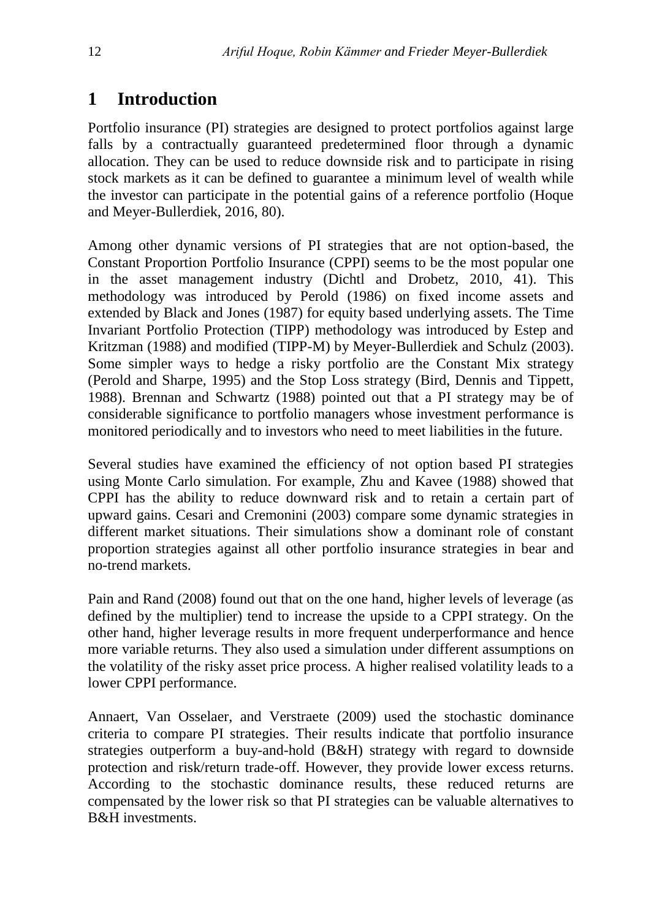# **1 Introduction**

Portfolio insurance (PI) strategies are designed to protect portfolios against large falls by a contractually guaranteed predetermined floor through a dynamic allocation. They can be used to reduce downside risk and to participate in rising stock markets as it can be defined to guarantee a minimum level of wealth while the investor can participate in the potential gains of a reference portfolio (Hoque and Meyer-Bullerdiek, 2016, 80).

Among other dynamic versions of PI strategies that are not option-based, the Constant Proportion Portfolio Insurance (CPPI) seems to be the most popular one in the asset management industry (Dichtl and Drobetz, 2010, 41). This methodology was introduced by Perold (1986) on fixed income assets and extended by Black and Jones (1987) for equity based underlying assets. The Time Invariant Portfolio Protection (TIPP) methodology was introduced by Estep and Kritzman (1988) and modified (TIPP-M) by Meyer-Bullerdiek and Schulz (2003). Some simpler ways to hedge a risky portfolio are the Constant Mix strategy (Perold and Sharpe, 1995) and the Stop Loss strategy (Bird, Dennis and Tippett, 1988). Brennan and Schwartz (1988) pointed out that a PI strategy may be of considerable significance to portfolio managers whose investment performance is monitored periodically and to investors who need to meet liabilities in the future.

Several studies have examined the efficiency of not option based PI strategies using Monte Carlo simulation. For example, Zhu and Kavee (1988) showed that CPPI has the ability to reduce downward risk and to retain a certain part of upward gains. Cesari and Cremonini (2003) compare some dynamic strategies in different market situations. Their simulations show a dominant role of constant proportion strategies against all other portfolio insurance strategies in bear and no-trend markets.

Pain and Rand (2008) found out that on the one hand, higher levels of leverage (as defined by the multiplier) tend to increase the upside to a CPPI strategy. On the other hand, higher leverage results in more frequent underperformance and hence more variable returns. They also used a simulation under different assumptions on the volatility of the risky asset price process. A higher realised volatility leads to a lower CPPI performance.

Annaert, Van Osselaer, and Verstraete (2009) used the stochastic dominance criteria to compare PI strategies. Their results indicate that portfolio insurance strategies outperform a buy-and-hold (B&H) strategy with regard to downside protection and risk/return trade-off. However, they provide lower excess returns. According to the stochastic dominance results, these reduced returns are compensated by the lower risk so that PI strategies can be valuable alternatives to B&H investments.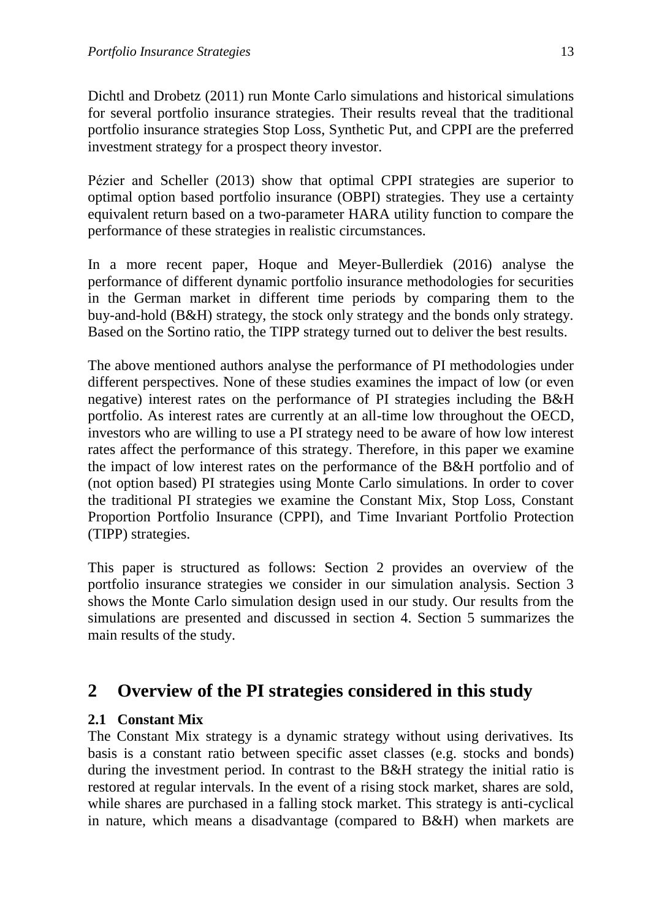Dichtl and Drobetz (2011) run Monte Carlo simulations and historical simulations for several portfolio insurance strategies. Their results reveal that the traditional portfolio insurance strategies Stop Loss, Synthetic Put, and CPPI are the preferred investment strategy for a prospect theory investor.

Pézier and Scheller (2013) show that optimal CPPI strategies are superior to optimal option based portfolio insurance (OBPI) strategies. They use a certainty equivalent return based on a two-parameter HARA utility function to compare the performance of these strategies in realistic circumstances.

In a more recent paper, Hoque and Meyer-Bullerdiek (2016) analyse the performance of different dynamic portfolio insurance methodologies for securities in the German market in different time periods by comparing them to the buy-and-hold (B&H) strategy, the stock only strategy and the bonds only strategy. Based on the Sortino ratio, the TIPP strategy turned out to deliver the best results.

The above mentioned authors analyse the performance of PI methodologies under different perspectives. None of these studies examines the impact of low (or even negative) interest rates on the performance of PI strategies including the B&H portfolio. As interest rates are currently at an all-time low throughout the OECD, investors who are willing to use a PI strategy need to be aware of how low interest rates affect the performance of this strategy. Therefore, in this paper we examine the impact of low interest rates on the performance of the B&H portfolio and of (not option based) PI strategies using Monte Carlo simulations. In order to cover the traditional PI strategies we examine the Constant Mix, Stop Loss, Constant Proportion Portfolio Insurance (CPPI), and Time Invariant Portfolio Protection (TIPP) strategies.

This paper is structured as follows: Section 2 provides an overview of the portfolio insurance strategies we consider in our simulation analysis. Section 3 shows the Monte Carlo simulation design used in our study. Our results from the simulations are presented and discussed in section 4. Section 5 summarizes the main results of the study.

# **2 Overview of the PI strategies considered in this study**

### **2.1 Constant Mix**

The Constant Mix strategy is a dynamic strategy without using derivatives. Its basis is a constant ratio between specific asset classes (e.g. stocks and bonds) during the investment period. In contrast to the B&H strategy the initial ratio is restored at regular intervals. In the event of a rising stock market, shares are sold, while shares are purchased in a falling stock market. This strategy is anti-cyclical in nature, which means a disadvantage (compared to B&H) when markets are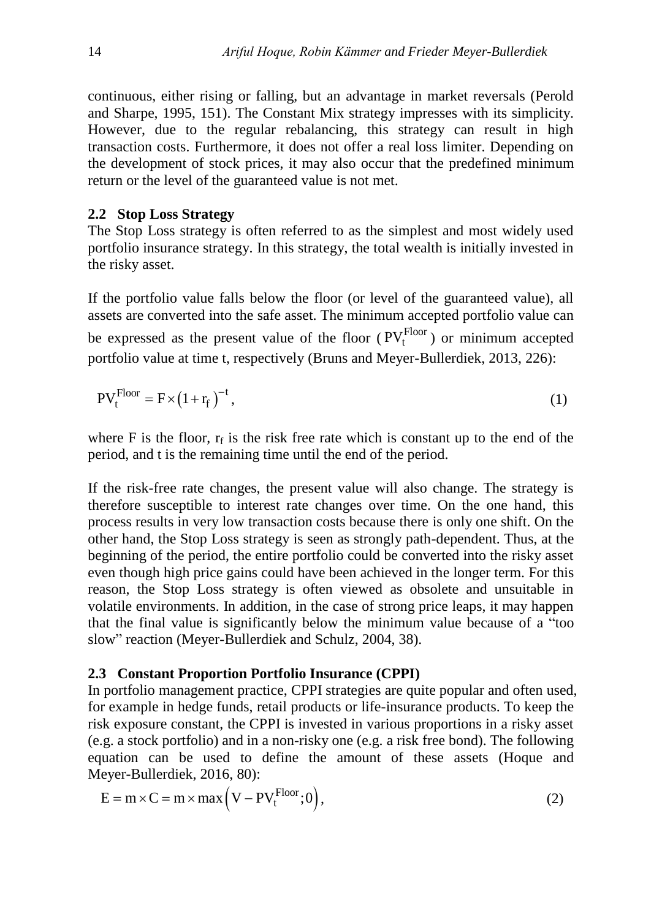continuous, either rising or falling, but an advantage in market reversals (Perold and Sharpe, 1995, 151). The Constant Mix strategy impresses with its simplicity. However, due to the regular rebalancing, this strategy can result in high transaction costs. Furthermore, it does not offer a real loss limiter. Depending on the development of stock prices, it may also occur that the predefined minimum return or the level of the guaranteed value is not met.

#### **2.2 Stop Loss Strategy**

The Stop Loss strategy is often referred to as the simplest and most widely used portfolio insurance strategy. In this strategy, the total wealth is initially invested in the risky asset.

If the portfolio value falls below the floor (or level of the guaranteed value), all assets are converted into the safe asset. The minimum accepted portfolio value can be expressed as the present value of the floor ( $PV_t^{Floor}$ ) or minimum accepted portfolio value at time t, respectively (Bruns and Meyer-Bullerdiek, 2013, 226):

$$
PV_t^{Floor} = F \times (1 + r_f)^{-t},\tag{1}
$$

where F is the floor,  $r_f$  is the risk free rate which is constant up to the end of the period, and t is the remaining time until the end of the period.

If the risk-free rate changes, the present value will also change. The strategy is therefore susceptible to interest rate changes over time. On the one hand, this process results in very low transaction costs because there is only one shift. On the other hand, the Stop Loss strategy is seen as strongly path-dependent. Thus, at the beginning of the period, the entire portfolio could be converted into the risky asset even though high price gains could have been achieved in the longer term. For this reason, the Stop Loss strategy is often viewed as obsolete and unsuitable in volatile environments. In addition, in the case of strong price leaps, it may happen that the final value is significantly below the minimum value because of a "too slow" reaction (Meyer-Bullerdiek and Schulz, 2004, 38).

#### **2.3 Constant Proportion Portfolio Insurance (CPPI)**

In portfolio management practice, CPPI strategies are quite popular and often used, for example in hedge funds, retail products or life-insurance products. To keep the risk exposure constant, the CPPI is invested in various proportions in a risky asset (e.g. a stock portfolio) and in a non-risky one (e.g. a risk free bond). The following equation can be used to define the amount of these assets (Hoque and Meyer-Bullerdiek, 2016, 80):

$$
E = m \times C = m \times max(V - PVtFloor; 0),
$$
\n(2)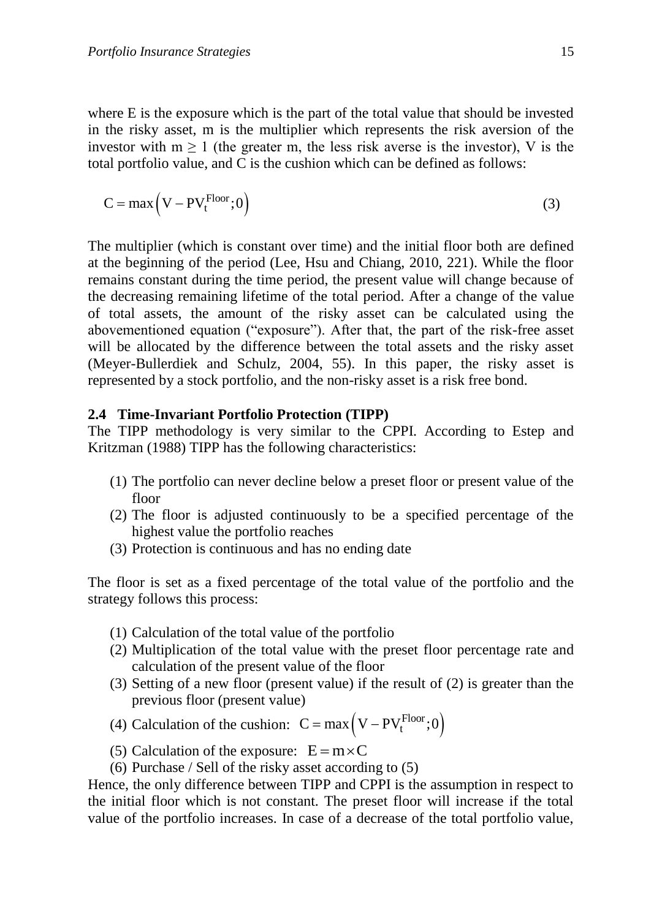where E is the exposure which is the part of the total value that should be invested in the risky asset, m is the multiplier which represents the risk aversion of the investor with  $m \ge 1$  (the greater m, the less risk averse is the investor), V is the total portfolio value, and C is the cushion which can be defined as follows:

$$
C = \max\left(V - PV_t^{\text{Floor}}; 0\right)
$$
\n(3)

The multiplier (which is constant over time) and the initial floor both are defined at the beginning of the period (Lee, Hsu and Chiang, 2010, 221). While the floor remains constant during the time period, the present value will change because of the decreasing remaining lifetime of the total period. After a change of the value of total assets, the amount of the risky asset can be calculated using the abovementioned equation ("exposure"). After that, the part of the risk-free asset will be allocated by the difference between the total assets and the risky asset (Meyer-Bullerdiek and Schulz, 2004, 55). In this paper, the risky asset is represented by a stock portfolio, and the non-risky asset is a risk free bond.

#### **2.4 Time-Invariant Portfolio Protection (TIPP)**

The TIPP methodology is very similar to the CPPI. According to Estep and Kritzman (1988) TIPP has the following characteristics:

- (1) The portfolio can never decline below a preset floor or present value of the floor
- (2) The floor is adjusted continuously to be a specified percentage of the highest value the portfolio reaches
- (3) Protection is continuous and has no ending date

The floor is set as a fixed percentage of the total value of the portfolio and the strategy follows this process:

- (1) Calculation of the total value of the portfolio
- (2) Multiplication of the total value with the preset floor percentage rate and calculation of the present value of the floor
- (3) Setting of a new floor (present value) if the result of (2) is greater than the previous floor (present value)

(4) Calculation of the cushion:  $C = max (V - PV<sub>t</sub><sup>Floor</sup>; 0)$ 

- (5) Calculation of the exposure:  $E = m \times C$
- (6) Purchase / Sell of the risky asset according to (5)

Hence, the only difference between TIPP and CPPI is the assumption in respect to the initial floor which is not constant. The preset floor will increase if the total value of the portfolio increases. In case of a decrease of the total portfolio value,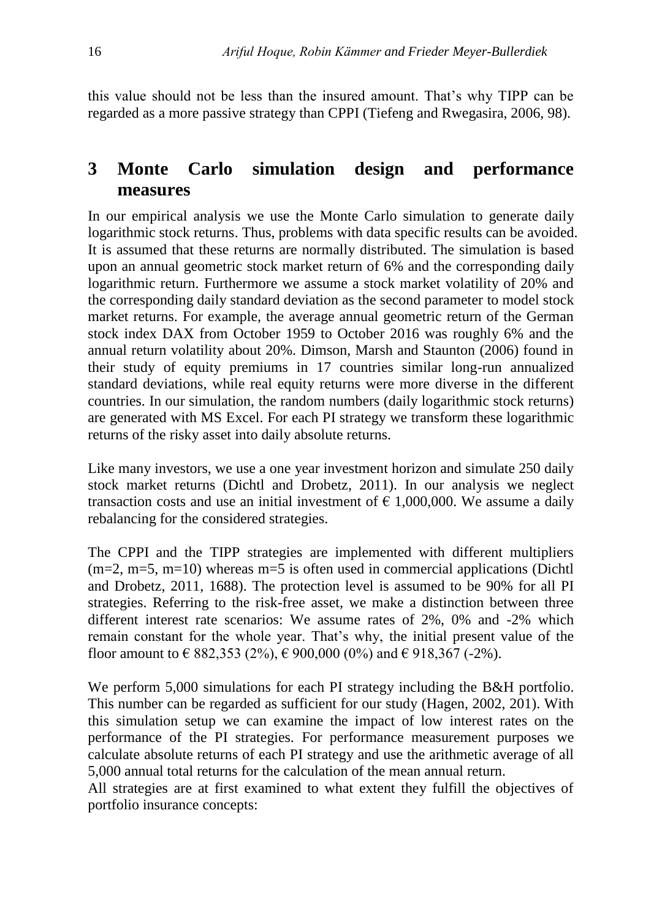this value should not be less than the insured amount. That's why TIPP can be regarded as a more passive strategy than CPPI (Tiefeng and Rwegasira, 2006, 98).

# **3 Monte Carlo simulation design and performance measures**

In our empirical analysis we use the Monte Carlo simulation to generate daily logarithmic stock returns. Thus, problems with data specific results can be avoided. It is assumed that these returns are normally distributed. The simulation is based upon an annual geometric stock market return of 6% and the corresponding daily logarithmic return. Furthermore we assume a stock market volatility of 20% and the corresponding daily standard deviation as the second parameter to model stock market returns. For example, the average annual geometric return of the German stock index DAX from October 1959 to October 2016 was roughly 6% and the annual return volatility about 20%. Dimson, Marsh and Staunton (2006) found in their study of equity premiums in 17 countries similar long-run annualized standard deviations, while real equity returns were more diverse in the different countries. In our simulation, the random numbers (daily logarithmic stock returns) are generated with MS Excel. For each PI strategy we transform these logarithmic returns of the risky asset into daily absolute returns.

Like many investors, we use a one year investment horizon and simulate 250 daily stock market returns (Dichtl and Drobetz, 2011). In our analysis we neglect transaction costs and use an initial investment of  $\epsilon$  1,000,000. We assume a daily rebalancing for the considered strategies.

The CPPI and the TIPP strategies are implemented with different multipliers  $(m=2, m=5, m=10)$  whereas  $m=5$  is often used in commercial applications (Dichtl and Drobetz, 2011, 1688). The protection level is assumed to be 90% for all PI strategies. Referring to the risk-free asset, we make a distinction between three different interest rate scenarios: We assume rates of 2%, 0% and -2% which remain constant for the whole year. That's why, the initial present value of the floor amount to  $\in$  882,353 (2%),  $\in$  900,000 (0%) and  $\in$  918,367 (-2%).

We perform 5,000 simulations for each PI strategy including the B&H portfolio. This number can be regarded as sufficient for our study (Hagen, 2002, 201). With this simulation setup we can examine the impact of low interest rates on the performance of the PI strategies. For performance measurement purposes we calculate absolute returns of each PI strategy and use the arithmetic average of all 5,000 annual total returns for the calculation of the mean annual return.

All strategies are at first examined to what extent they fulfill the objectives of portfolio insurance concepts: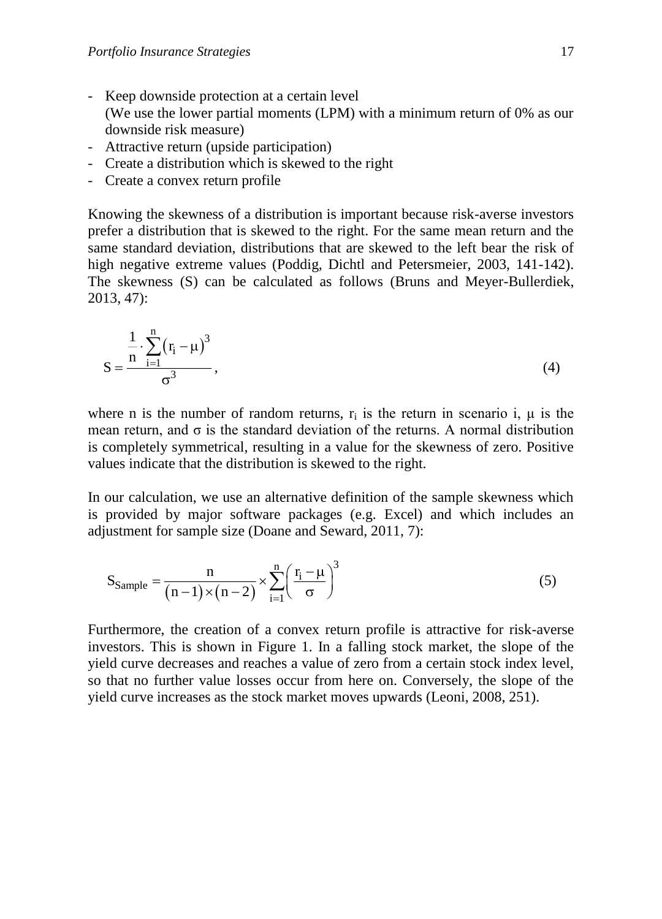- Keep downside protection at a certain level (We use the lower partial moments (LPM) with a minimum return of 0% as our downside risk measure)
- Attractive return (upside participation)
- Create a distribution which is skewed to the right
- Create a convex return profile

Knowing the skewness of a distribution is important because risk-averse investors prefer a distribution that is skewed to the right. For the same mean return and the same standard deviation, distributions that are skewed to the left bear the risk of high negative extreme values (Poddig, Dichtl and Petersmeier, 2003, 141-142). The skewness (S) can be calculated as follows (Bruns and Meyer-Bullerdiek, 2013, 47):

$$
S = \frac{\frac{1}{n} \cdot \sum_{i=1}^{n} (r_i - \mu)^3}{\sigma^3},
$$
\n(4)

where n is the number of random returns,  $r_i$  is the return in scenario i,  $\mu$  is the mean return, and  $\sigma$  is the standard deviation of the returns. A normal distribution is completely symmetrical, resulting in a value for the skewness of zero. Positive values indicate that the distribution is skewed to the right.

In our calculation, we use an alternative definition of the sample skewness which is provided by major software packages (e.g. Excel) and which includes an adjustment for sample size (Doane and Seward, 2011, 7):

$$
S_{Sample} = \frac{n}{(n-1)\times(n-2)} \times \sum_{i=1}^{n} \left(\frac{r_i - \mu}{\sigma}\right)^3
$$
 (5)

Furthermore, the creation of a convex return profile is attractive for risk-averse investors. This is shown in Figure 1. In a falling stock market, the slope of the yield curve decreases and reaches a value of zero from a certain stock index level, so that no further value losses occur from here on. Conversely, the slope of the yield curve increases as the stock market moves upwards (Leoni, 2008, 251).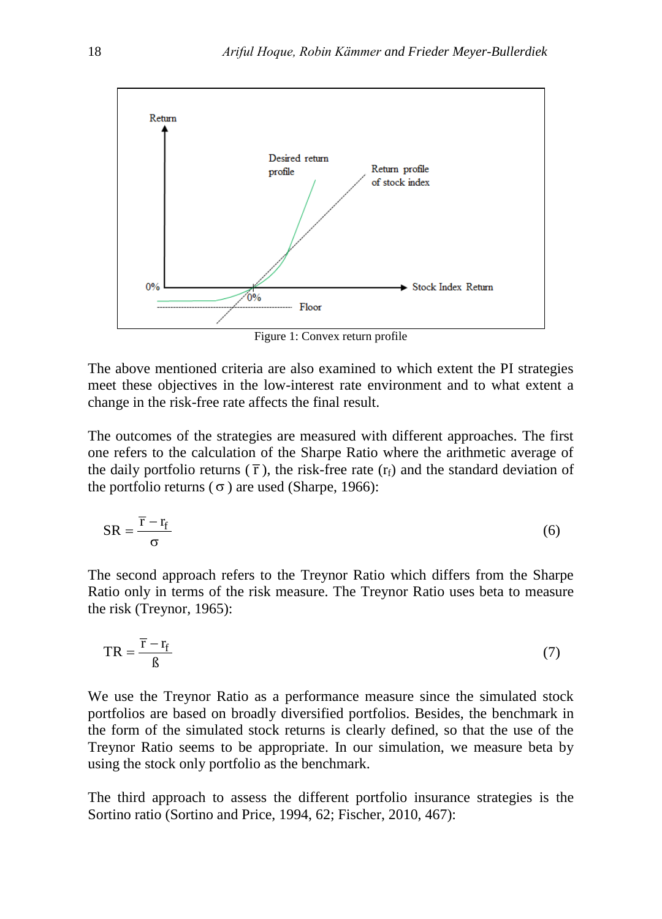

Figure 1: Convex return profile

The above mentioned criteria are also examined to which extent the PI strategies meet these objectives in the low-interest rate environment and to what extent a change in the risk-free rate affects the final result.

The outcomes of the strategies are measured with different approaches. The first one refers to the calculation of the Sharpe Ratio where the arithmetic average of the daily portfolio returns  $(\bar{r})$ , the risk-free rate  $(r_f)$  and the standard deviation of the portfolio returns  $(\sigma)$  are used (Sharpe, 1966):

$$
SR = \frac{\overline{r} - r_{f}}{\sigma} \tag{6}
$$

The second approach refers to the Treynor Ratio which differs from the Sharpe Ratio only in terms of the risk measure. The Treynor Ratio uses beta to measure the risk (Treynor, 1965):

$$
TR = \frac{\overline{r} - r_{f}}{\beta} \tag{7}
$$

We use the Treynor Ratio as a performance measure since the simulated stock portfolios are based on broadly diversified portfolios. Besides, the benchmark in the form of the simulated stock returns is clearly defined, so that the use of the Treynor Ratio seems to be appropriate. In our simulation, we measure beta by using the stock only portfolio as the benchmark.

The third approach to assess the different portfolio insurance strategies is the Sortino ratio (Sortino and Price, 1994, 62; Fischer, 2010, 467):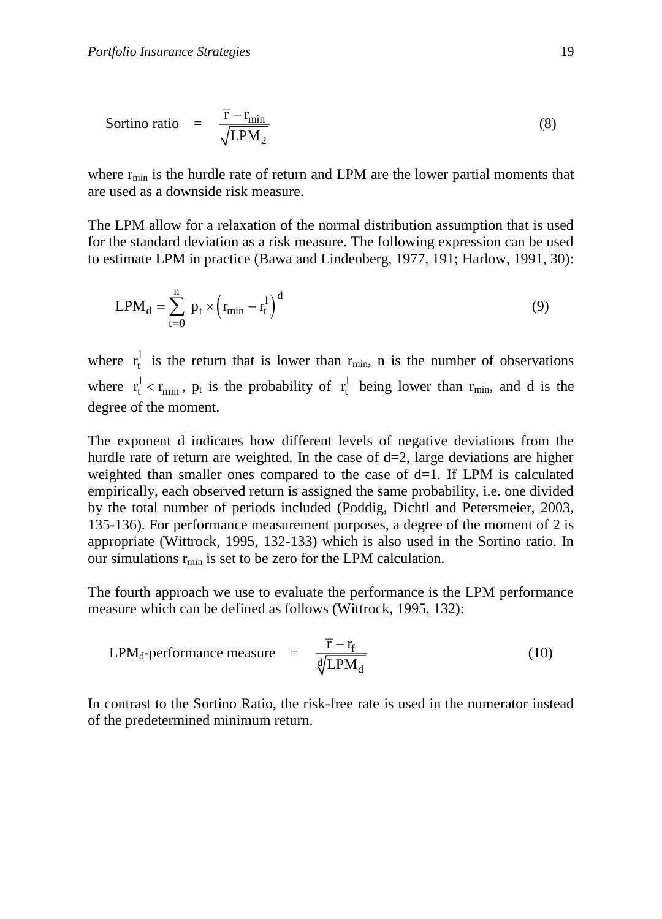$$
ext{Sortino ratio} = \frac{\overline{r} - r_{\text{min}}}{\sqrt{LPM_2}}
$$
\n(8)

where  $r_{min}$  is the hurdle rate of return and LPM are the lower partial moments that are used as a downside risk measure.

The LPM allow for a relaxation of the normal distribution assumption that is used for the standard deviation as a risk measure. The following expression can be used to estimate LPM in practice (Bawa and Lindenberg, 1977, 191; Harlow, 1991, 30):

$$
LPM_d = \sum_{t=0}^{n} p_t \times (r_{min} - r_t^1)^d
$$
 (9)

where  $r_t^l$  $r_t^1$  is the return that is lower than  $r_{\min}$ , n is the number of observations where  $r_t^1 < r_{min}$ ,  $p_t$  is the probability of  $r_t^1$  $r_t^1$  being lower than  $r_{min}$ , and d is the degree of the moment.

The exponent d indicates how different levels of negative deviations from the hurdle rate of return are weighted. In the case of  $d=2$ , large deviations are higher weighted than smaller ones compared to the case of  $d=1$ . If LPM is calculated empirically, each observed return is assigned the same probability, i.e. one divided by the total number of periods included (Poddig, Dichtl and Petersmeier, 2003, 135-136). For performance measurement purposes, a degree of the moment of 2 is appropriate (Wittrock, 1995, 132-133) which is also used in the Sortino ratio. In our simulations  $r_{min}$  is set to be zero for the LPM calculation.

The fourth approach we use to evaluate the performance is the LPM performance measure which can be defined as follows (Wittrock, 1995, 132):

$$
LPMd-performance measure = \frac{\overline{r} - r_f}{\sqrt[d]{LPM_d}}
$$
 (10)

In contrast to the Sortino Ratio, the risk-free rate is used in the numerator instead of the predetermined minimum return.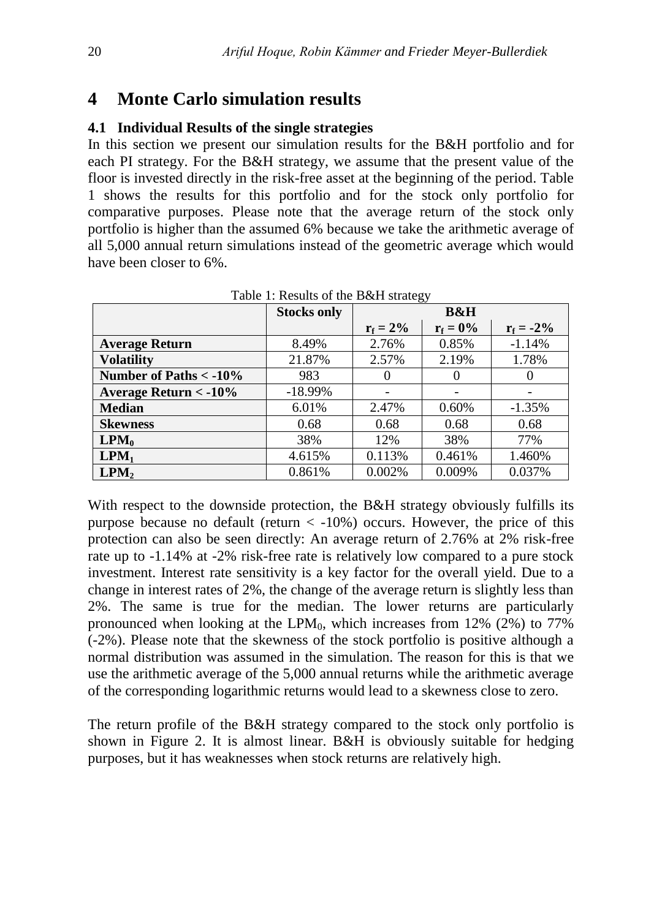### **4 Monte Carlo simulation results**

#### **4.1 Individual Results of the single strategies**

In this section we present our simulation results for the B&H portfolio and for each PI strategy. For the B&H strategy, we assume that the present value of the floor is invested directly in the risk-free asset at the beginning of the period. Table 1 shows the results for this portfolio and for the stock only portfolio for comparative purposes. Please note that the average return of the stock only portfolio is higher than the assumed 6% because we take the arithmetic average of all 5,000 annual return simulations instead of the geometric average which would have been closer to 6%.

|                                      | <b>Stocks only</b> | <b>B&amp;H</b> |             |              |
|--------------------------------------|--------------------|----------------|-------------|--------------|
|                                      |                    | $r_f = 2\%$    | $r_f = 0\%$ | $r_f = -2\%$ |
| <b>Average Return</b>                | 8.49%              | 2.76%          | 0.85%       | $-1.14%$     |
| <b>Volatility</b>                    | 21.87%             | 2.57%          | 2.19%       | 1.78%        |
| Number of Paths < -10%               | 983                | $\theta$       |             | $\theta$     |
| <b>Average Return &lt; - 10%</b>     | $-18.99%$          |                |             |              |
| <b>Median</b>                        | 6.01%              | 2.47%          | 0.60%       | $-1.35%$     |
| <b>Skewness</b>                      | 0.68               | 0.68           | 0.68        | 0.68         |
| $\text{LPM}_0$                       | 38%                | 12%            | 38%         | 77%          |
| LPM <sub>1</sub>                     | 4.615%             | 0.113%         | 0.461%      | 1.460%       |
| $\mathbf{L} \mathbf{P} \mathbf{M}_2$ | 0.861%             | 0.002%         | 0.009%      | 0.037%       |

Table 1: Results of the B&H strategy

With respect to the downside protection, the B&H strategy obviously fulfills its purpose because no default (return  $\langle -10\% \rangle$  occurs. However, the price of this protection can also be seen directly: An average return of 2.76% at 2% risk-free rate up to -1.14% at -2% risk-free rate is relatively low compared to a pure stock investment. Interest rate sensitivity is a key factor for the overall yield. Due to a change in interest rates of 2%, the change of the average return is slightly less than 2%. The same is true for the median. The lower returns are particularly pronounced when looking at the  $LPM_0$ , which increases from 12% (2%) to 77% (-2%). Please note that the skewness of the stock portfolio is positive although a normal distribution was assumed in the simulation. The reason for this is that we use the arithmetic average of the 5,000 annual returns while the arithmetic average of the corresponding logarithmic returns would lead to a skewness close to zero.

The return profile of the B&H strategy compared to the stock only portfolio is shown in Figure 2. It is almost linear. B&H is obviously suitable for hedging purposes, but it has weaknesses when stock returns are relatively high.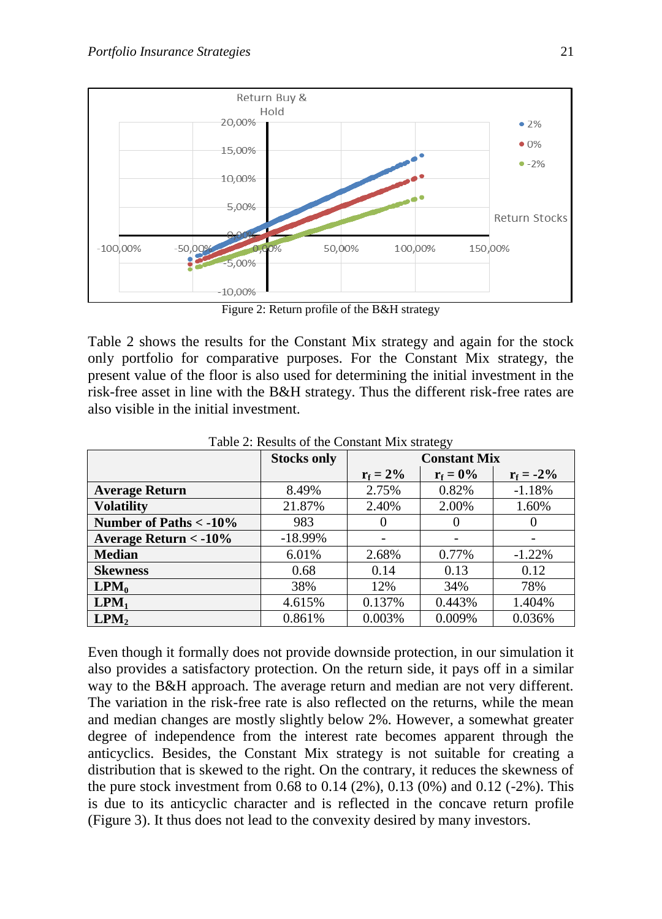

Figure 2: Return profile of the B&H strategy

Table 2 shows the results for the Constant Mix strategy and again for the stock only portfolio for comparative purposes. For the Constant Mix strategy, the present value of the floor is also used for determining the initial investment in the risk-free asset in line with the B&H strategy. Thus the different risk-free rates are also visible in the initial investment.

|                          | <b>Stocks only</b> | <b>Constant Mix</b> |             |              |
|--------------------------|--------------------|---------------------|-------------|--------------|
|                          |                    | $r_f = 2\%$         | $r_f = 0\%$ | $r_f = -2\%$ |
| <b>Average Return</b>    | 8.49%              | 2.75%               | 0.82%       | $-1.18%$     |
| <b>Volatility</b>        | 21.87%             | 2.40%               | 2.00%       | 1.60%        |
| Number of Paths $<$ -10% | 983                | $\Omega$            | $\theta$    |              |
| Average Return $<$ -10%  | $-18.99\%$         |                     |             |              |
| <b>Median</b>            | 6.01%              | 2.68%               | 0.77%       | $-1.22%$     |
| <b>Skewness</b>          | 0.68               | 0.14                | 0.13        | 0.12         |
| $LPM_0$                  | 38%                | 12%                 | 34%         | 78%          |
| LPM <sub>1</sub>         | 4.615%             | 0.137%              | 0.443%      | 1.404%       |
| LPM <sub>2</sub>         | 0.861%             | 0.003%              | 0.009%      | 0.036%       |

Table 2: Results of the Constant Mix strategy

Even though it formally does not provide downside protection, in our simulation it also provides a satisfactory protection. On the return side, it pays off in a similar way to the B&H approach. The average return and median are not very different. The variation in the risk-free rate is also reflected on the returns, while the mean and median changes are mostly slightly below 2%. However, a somewhat greater degree of independence from the interest rate becomes apparent through the anticyclics. Besides, the Constant Mix strategy is not suitable for creating a distribution that is skewed to the right. On the contrary, it reduces the skewness of the pure stock investment from 0.68 to 0.14  $(2\%)$ , 0.13  $(0\%)$  and 0.12  $(-2\%)$ . This is due to its anticyclic character and is reflected in the concave return profile (Figure 3). It thus does not lead to the convexity desired by many investors.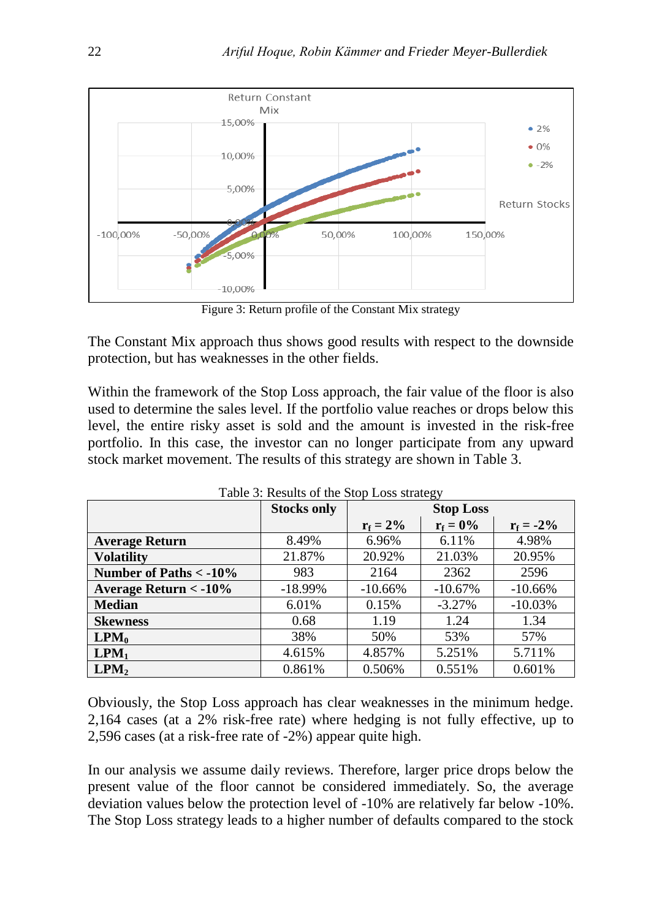

Figure 3: Return profile of the Constant Mix strategy

The Constant Mix approach thus shows good results with respect to the downside protection, but has weaknesses in the other fields.

Within the framework of the Stop Loss approach, the fair value of the floor is also used to determine the sales level. If the portfolio value reaches or drops below this level, the entire risky asset is sold and the amount is invested in the risk-free portfolio. In this case, the investor can no longer participate from any upward stock market movement. The results of this strategy are shown in Table 3.

|                          | <b>Stocks only</b> | <b>Stop Loss</b> |             |              |
|--------------------------|--------------------|------------------|-------------|--------------|
|                          |                    | $r_f = 2\%$      | $r_f = 0\%$ | $r_f = -2\%$ |
| <b>Average Return</b>    | 8.49%              | 6.96%            | 6.11%       | 4.98%        |
| <b>Volatility</b>        | 21.87%             | 20.92%           | 21.03%      | 20.95%       |
| Number of Paths $<$ -10% | 983                | 2164             | 2362        | 2596         |
| Average Return $<$ -10%  | $-18.99\%$         | $-10.66%$        | $-10.67%$   | $-10.66%$    |
| <b>Median</b>            | 6.01%              | 0.15%            | $-3.27%$    | $-10.03%$    |
| <b>Skewness</b>          | 0.68               | 1.19             | 1.24        | 1.34         |
| $\text{LPM}_0$           | 38%                | 50%              | 53%         | 57%          |
| LPM <sub>1</sub>         | 4.615%             | 4.857%           | 5.251%      | 5.711%       |
| LPM <sub>2</sub>         | 0.861%             | 0.506%           | 0.551%      | 0.601%       |

Table 3: Results of the Stop Loss strategy

Obviously, the Stop Loss approach has clear weaknesses in the minimum hedge. 2,164 cases (at a 2% risk-free rate) where hedging is not fully effective, up to 2,596 cases (at a risk-free rate of -2%) appear quite high.

In our analysis we assume daily reviews. Therefore, larger price drops below the present value of the floor cannot be considered immediately. So, the average deviation values below the protection level of -10% are relatively far below -10%. The Stop Loss strategy leads to a higher number of defaults compared to the stock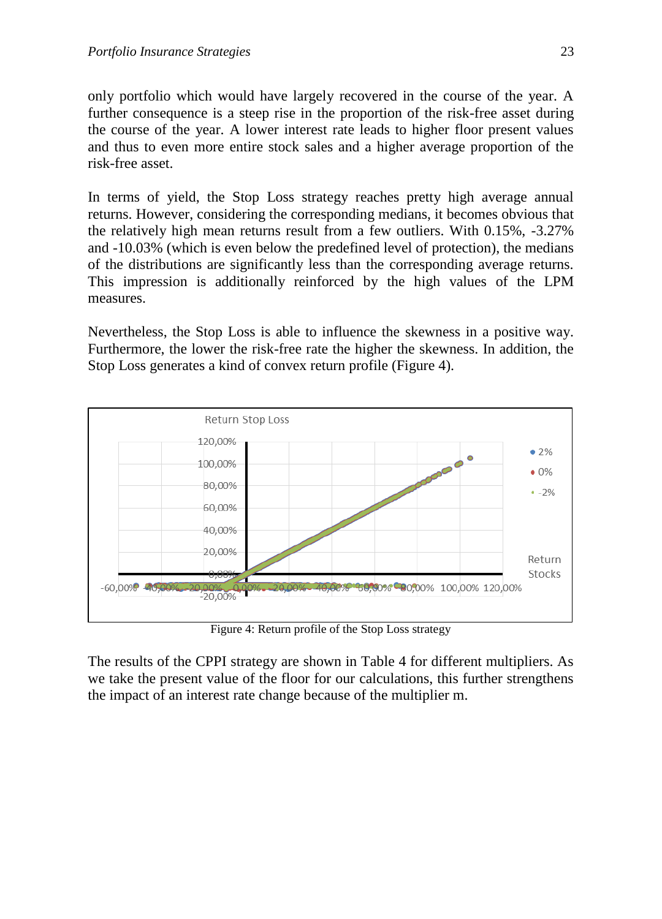only portfolio which would have largely recovered in the course of the year. A further consequence is a steep rise in the proportion of the risk-free asset during the course of the year. A lower interest rate leads to higher floor present values and thus to even more entire stock sales and a higher average proportion of the risk-free asset.

In terms of yield, the Stop Loss strategy reaches pretty high average annual returns. However, considering the corresponding medians, it becomes obvious that the relatively high mean returns result from a few outliers. With 0.15%, -3.27% and -10.03% (which is even below the predefined level of protection), the medians of the distributions are significantly less than the corresponding average returns. This impression is additionally reinforced by the high values of the LPM measures.

Nevertheless, the Stop Loss is able to influence the skewness in a positive way. Furthermore, the lower the risk-free rate the higher the skewness. In addition, the Stop Loss generates a kind of convex return profile (Figure 4).



Figure 4: Return profile of the Stop Loss strategy

The results of the CPPI strategy are shown in Table 4 for different multipliers. As we take the present value of the floor for our calculations, this further strengthens the impact of an interest rate change because of the multiplier m.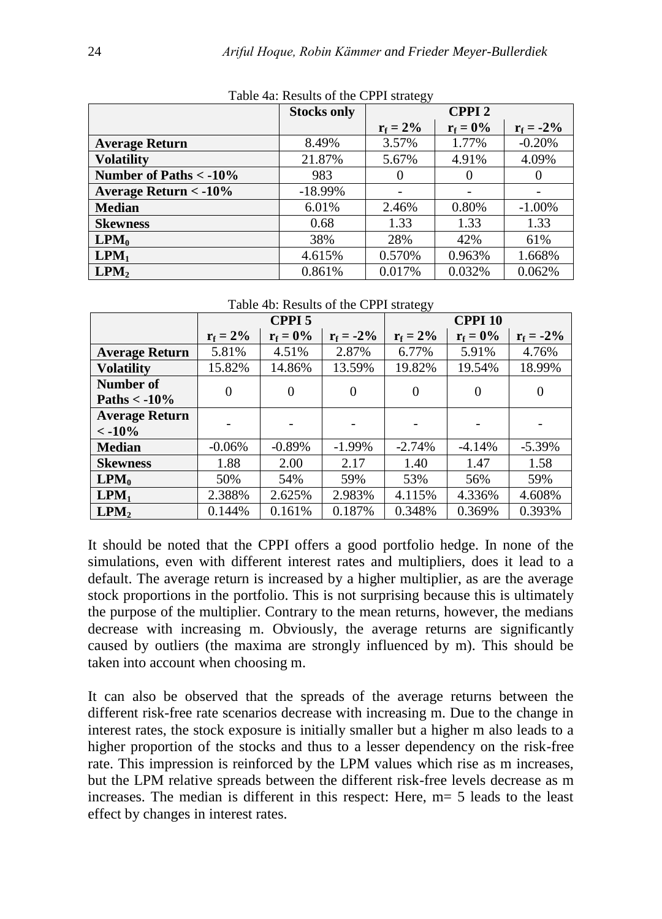|                                 | <b>Stocks only</b> | ັ<br><b>CPPI2</b> |             |              |
|---------------------------------|--------------------|-------------------|-------------|--------------|
|                                 |                    | $r_f = 2\%$       | $r_f = 0\%$ | $r_f = -2\%$ |
| <b>Average Return</b>           | 8.49%              | 3.57%             | 1.77%       | $-0.20%$     |
| <b>Volatility</b>               | 21.87%             | 5.67%             | 4.91%       | 4.09%        |
| Number of Paths $<$ -10%        | 983                | $\Omega$          | $\Omega$    |              |
| <b>Average Return &lt; -10%</b> | $-18.99%$          |                   |             |              |
| <b>Median</b>                   | 6.01%              | 2.46%             | 0.80%       | $-1.00\%$    |
| <b>Skewness</b>                 | 0.68               | 1.33              | 1.33        | 1.33         |
| $\text{LPM}_0$                  | 38%                | 28%               | 42%         | 61%          |
| LPM <sub>1</sub>                | 4.615%             | 0.570%            | 0.963%      | 1.668%       |
| $\text{LPM}_2$                  | 0.861%             | 0.017%            | 0.032%      | 0.062%       |

Table 4a: Results of the CPPI strategy

Table 4b: Results of the CPPI strategy

|                       | CPPI <sub>5</sub> |             |              | <b>CPPI 10</b> |                  |              |
|-----------------------|-------------------|-------------|--------------|----------------|------------------|--------------|
|                       | $r_f = 2\%$       | $r_f = 0\%$ | $r_f = -2\%$ | $r_f = 2\%$    | $r_f = 0\%$      | $r_f = -2\%$ |
| <b>Average Return</b> | 5.81%             | 4.51%       | 2.87%        | 6.77%          | 5.91%            | 4.76%        |
| <b>Volatility</b>     | 15.82%            | 14.86%      | 13.59%       | 19.82%         | 19.54%           | 18.99%       |
| Number of             | 0                 | $\theta$    | $\theta$     | $\theta$       | $\boldsymbol{0}$ | $\Omega$     |
| Paths $<$ -10%        |                   |             |              |                |                  |              |
| <b>Average Return</b> |                   |             |              |                |                  |              |
| $< -10\%$             |                   |             |              |                |                  |              |
| <b>Median</b>         | $-0.06%$          | $-0.89%$    | $-1.99%$     | $-2.74%$       | $-4.14%$         | $-5.39%$     |
| <b>Skewness</b>       | 1.88              | 2.00        | 2.17         | 1.40           | 1.47             | 1.58         |
| $\text{LPM}_0$        | 50%               | 54%         | 59%          | 53%            | 56%              | 59%          |
| LPM <sub>1</sub>      | 2.388%            | 2.625%      | 2.983%       | 4.115%         | 4.336%           | 4.608%       |
| $\text{LPM}_2$        | 0.144%            | 0.161%      | 0.187%       | 0.348%         | 0.369%           | 0.393%       |

It should be noted that the CPPI offers a good portfolio hedge. In none of the simulations, even with different interest rates and multipliers, does it lead to a default. The average return is increased by a higher multiplier, as are the average stock proportions in the portfolio. This is not surprising because this is ultimately the purpose of the multiplier. Contrary to the mean returns, however, the medians decrease with increasing m. Obviously, the average returns are significantly caused by outliers (the maxima are strongly influenced by m). This should be taken into account when choosing m.

It can also be observed that the spreads of the average returns between the different risk-free rate scenarios decrease with increasing m. Due to the change in interest rates, the stock exposure is initially smaller but a higher m also leads to a higher proportion of the stocks and thus to a lesser dependency on the risk-free rate. This impression is reinforced by the LPM values which rise as m increases, but the LPM relative spreads between the different risk-free levels decrease as m increases. The median is different in this respect: Here, m= 5 leads to the least effect by changes in interest rates.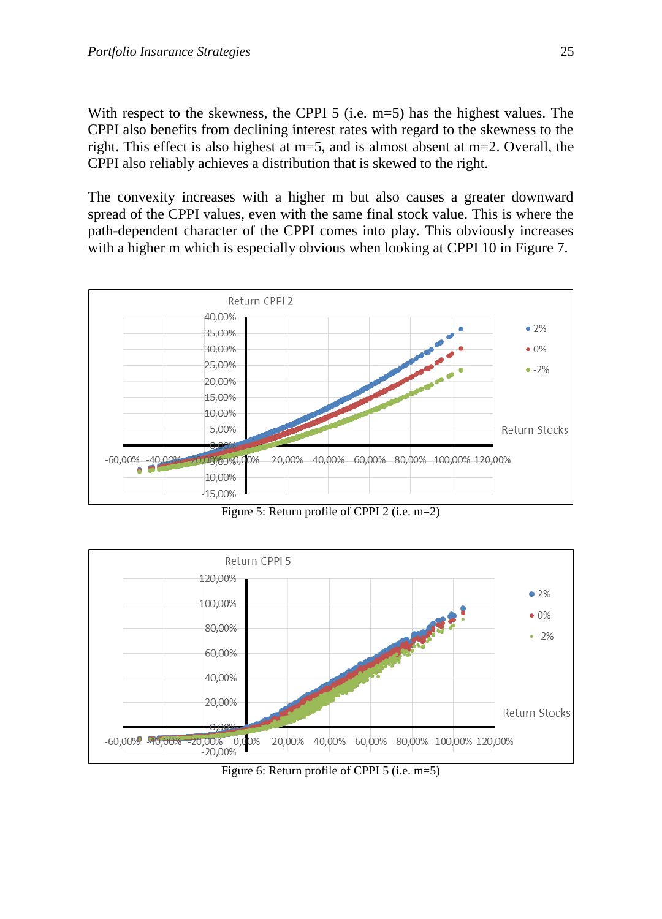With respect to the skewness, the CPPI 5 (i.e. m=5) has the highest values. The CPPI also benefits from declining interest rates with regard to the skewness to the right. This effect is also highest at m=5, and is almost absent at m=2. Overall, the CPPI also reliably achieves a distribution that is skewed to the right.

The convexity increases with a higher m but also causes a greater downward spread of the CPPI values, even with the same final stock value. This is where the path-dependent character of the CPPI comes into play. This obviously increases with a higher m which is especially obvious when looking at CPPI 10 in Figure 7.



Figure 5: Return profile of CPPI 2 (i.e. m=2)



Figure 6: Return profile of CPPI 5 (i.e. m=5)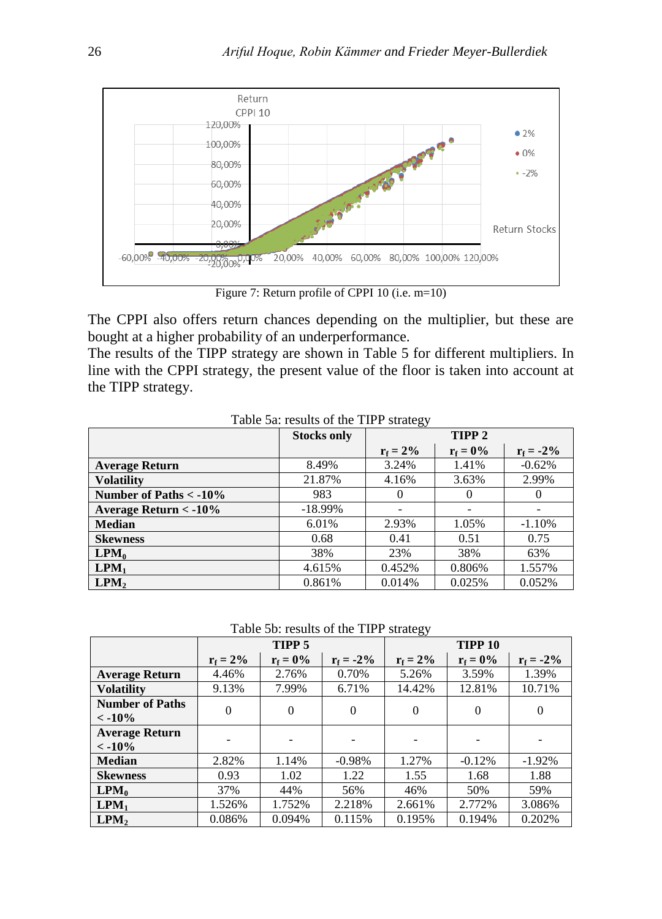

Figure 7: Return profile of CPPI 10 (i.e. m=10)

The CPPI also offers return chances depending on the multiplier, but these are bought at a higher probability of an underperformance.

The results of the TIPP strategy are shown in Table 5 for different multipliers. In line with the CPPI strategy, the present value of the floor is taken into account at the TIPP strategy.

|                          | <b>Stocks only</b> | TIPP <sub>2</sub> |             |              |
|--------------------------|--------------------|-------------------|-------------|--------------|
|                          |                    | $r_f = 2\%$       | $r_f = 0\%$ | $r_f = -2\%$ |
| <b>Average Return</b>    | 8.49%              | 3.24%             | 1.41%       | $-0.62%$     |
| <b>Volatility</b>        | 21.87%             | 4.16%             | 3.63%       | 2.99%        |
| Number of Paths $<$ -10% | 983                | $\theta$          | $\theta$    |              |
| Average Return $<$ -10%  | $-18.99\%$         |                   |             |              |
| <b>Median</b>            | 6.01%              | 2.93%             | 1.05%       | $-1.10\%$    |
| <b>Skewness</b>          | 0.68               | 0.41              | 0.51        | 0.75         |
| $\text{LPM}_0$           | 38%                | 23%               | 38%         | 63%          |
| $\text{LPM}_1$           | 4.615%             | 0.452%            | 0.806%      | 1.557%       |
| $\text{LPM}_2$           | 0.861%             | 0.014%            | 0.025%      | 0.052%       |

Table 5a: results of the TIPP strategy

Table 5b: results of the TIPP strategy

|                                                  |             | TIPP 5      |              | 54.444<br>TIPP <sub>10</sub> |             |              |
|--------------------------------------------------|-------------|-------------|--------------|------------------------------|-------------|--------------|
|                                                  | $r_f = 2\%$ | $r_f = 0\%$ | $r_f = -2\%$ | $r_f = 2\%$                  | $r_f = 0\%$ | $r_f = -2\%$ |
| <b>Average Return</b>                            | 4.46%       | 2.76%       | 0.70%        | 5.26%                        | 3.59%       | 1.39%        |
| <b>Volatility</b>                                | 9.13%       | 7.99%       | 6.71%        | 14.42%                       | 12.81%      | 10.71%       |
| <b>Number of Paths</b><br>$\langle -10\%$        | $\theta$    | $\theta$    | $\Omega$     | $\overline{0}$               | $\theta$    | $\Omega$     |
| <b>Average Return</b><br>$\langle -10\% \rangle$ |             |             |              |                              |             |              |
| <b>Median</b>                                    | 2.82%       | 1.14%       | $-0.98\%$    | 1.27%                        | $-0.12%$    | $-1.92\%$    |
| <b>Skewness</b>                                  | 0.93        | 1.02        | 1.22         | 1.55                         | 1.68        | 1.88         |
| $\text{LPM}_0$                                   | 37%         | 44%         | 56%          | 46%                          | 50%         | 59%          |
| $\mathbf{L} \mathbf{P} \mathbf{M}_1$             | 1.526%      | 1.752%      | 2.218%       | 2.661%                       | 2.772%      | 3.086%       |
| $\text{LPM}_2$                                   | 0.086%      | 0.094%      | 0.115%       | 0.195%                       | 0.194%      | 0.202%       |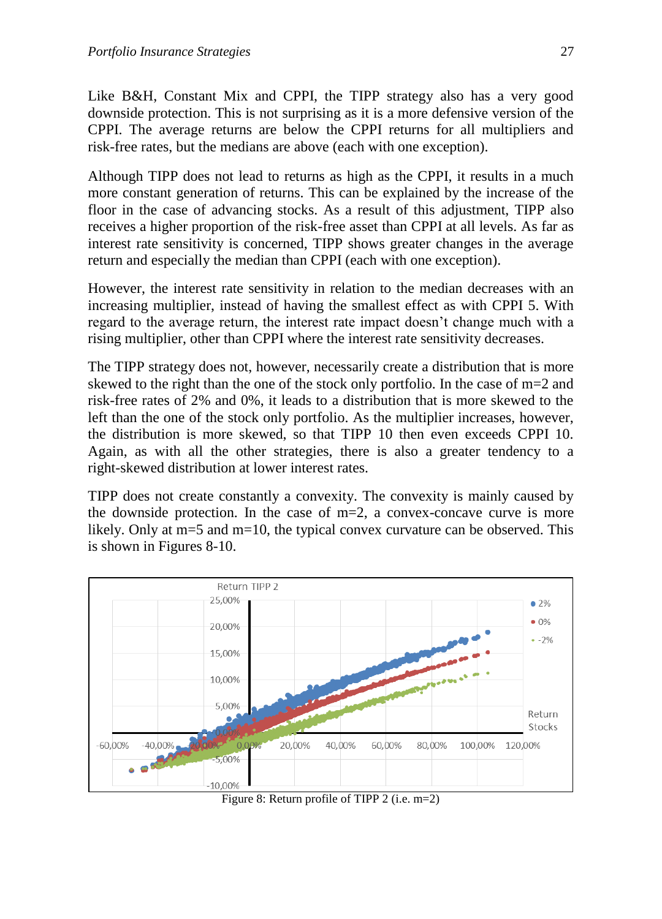Like B&H, Constant Mix and CPPI, the TIPP strategy also has a very good downside protection. This is not surprising as it is a more defensive version of the CPPI. The average returns are below the CPPI returns for all multipliers and risk-free rates, but the medians are above (each with one exception).

Although TIPP does not lead to returns as high as the CPPI, it results in a much more constant generation of returns. This can be explained by the increase of the floor in the case of advancing stocks. As a result of this adjustment, TIPP also receives a higher proportion of the risk-free asset than CPPI at all levels. As far as interest rate sensitivity is concerned, TIPP shows greater changes in the average return and especially the median than CPPI (each with one exception).

However, the interest rate sensitivity in relation to the median decreases with an increasing multiplier, instead of having the smallest effect as with CPPI 5. With regard to the average return, the interest rate impact doesn't change much with a rising multiplier, other than CPPI where the interest rate sensitivity decreases.

The TIPP strategy does not, however, necessarily create a distribution that is more skewed to the right than the one of the stock only portfolio. In the case of  $m=2$  and risk-free rates of 2% and 0%, it leads to a distribution that is more skewed to the left than the one of the stock only portfolio. As the multiplier increases, however, the distribution is more skewed, so that TIPP 10 then even exceeds CPPI 10. Again, as with all the other strategies, there is also a greater tendency to a right-skewed distribution at lower interest rates.

TIPP does not create constantly a convexity. The convexity is mainly caused by the downside protection. In the case of  $m=2$ , a convex-concave curve is more likely. Only at m=5 and m=10, the typical convex curvature can be observed. This is shown in Figures 8-10.



Figure 8: Return profile of TIPP 2 (i.e. m=2)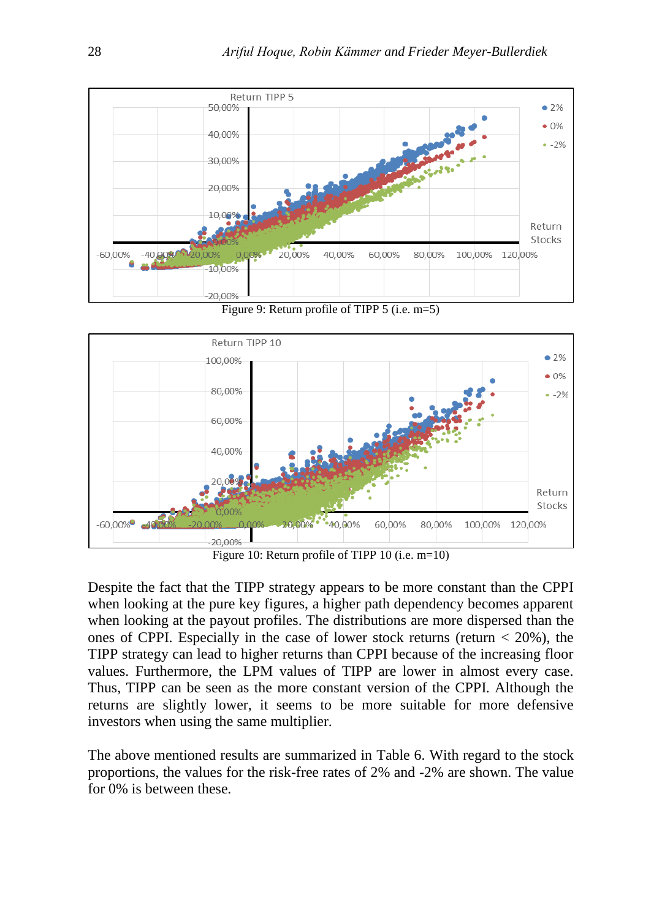

Figure 9: Return profile of TIPP 5 (i.e. m=5)



Figure 10: Return profile of TIPP 10 (i.e. m=10)

Despite the fact that the TIPP strategy appears to be more constant than the CPPI when looking at the pure key figures, a higher path dependency becomes apparent when looking at the payout profiles. The distributions are more dispersed than the ones of CPPI. Especially in the case of lower stock returns (return  $<$  20%), the TIPP strategy can lead to higher returns than CPPI because of the increasing floor values. Furthermore, the LPM values of TIPP are lower in almost every case. Thus, TIPP can be seen as the more constant version of the CPPI. Although the returns are slightly lower, it seems to be more suitable for more defensive investors when using the same multiplier.

The above mentioned results are summarized in Table 6. With regard to the stock proportions, the values for the risk-free rates of 2% and -2% are shown. The value for 0% is between these.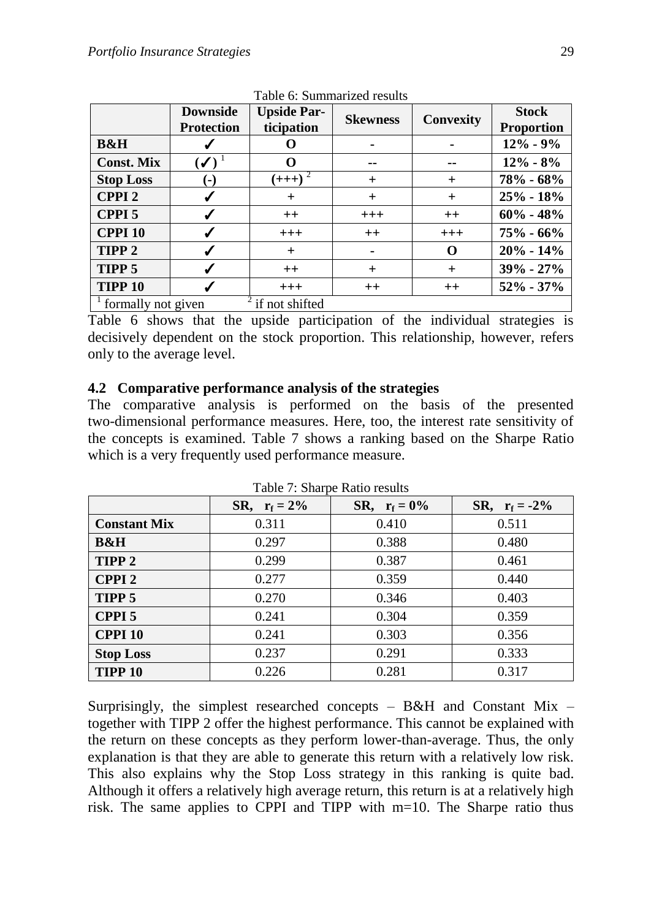|                                                   | <b>Downside</b><br><b>Protection</b> | <b>Upside Par-</b><br>ticipation | <b>Skewness</b> | Convexity | <b>Stock</b><br><b>Proportion</b> |
|---------------------------------------------------|--------------------------------------|----------------------------------|-----------------|-----------|-----------------------------------|
| <b>B&amp;H</b>                                    | ✔                                    |                                  |                 |           | $12\% - 9\%$                      |
| <b>Const. Mix</b>                                 | $(\checkmark)$                       |                                  |                 | --        | $12\% - 8\%$                      |
| <b>Stop Loss</b>                                  | $(-)$                                | $(+++)^2$                        | $^{+}$          | $^{+}$    | $78% - 68%$                       |
| <b>CPPI2</b>                                      | √                                    | $\,^+$                           | $^{+}$          | $^{+}$    | $25% - 18%$                       |
| <b>CPPI 5</b>                                     | ✔                                    | $++$                             | $^{+++}$        | $++$      | $60\% - 48\%$                     |
| <b>CPPI 10</b>                                    |                                      | $+ + +$                          | $++$            | $+++$     | $75\% - 66\%$                     |
| TIPP <sub>2</sub>                                 | ✔                                    | $^{+}$                           |                 | O         | $20\% - 14\%$                     |
| TIPP 5                                            | $\checkmark$                         | $++$                             | $\pm$           | $^{+}$    | $39\% - 27\%$                     |
| <b>TIPP 10</b>                                    |                                      | $+ + +$                          | $++$            | $++$      | $52\% - 37\%$                     |
| if not shifted<br><sup>1</sup> formally not given |                                      |                                  |                 |           |                                   |

Table 6: Summarized results

Table 6 shows that the upside participation of the individual strategies is decisively dependent on the stock proportion. This relationship, however, refers only to the average level.

#### **4.2 Comparative performance analysis of the strategies**

The comparative analysis is performed on the basis of the presented two-dimensional performance measures. Here, too, the interest rate sensitivity of the concepts is examined. Table 7 shows a ranking based on the Sharpe Ratio which is a very frequently used performance measure.

|                     | SR, $r_f = 2\%$ | SR, $r_f = 0\%$ | SR, $r_f = -2\%$ |
|---------------------|-----------------|-----------------|------------------|
| <b>Constant Mix</b> | 0.311           | 0.410           | 0.511            |
| <b>B&amp;H</b>      | 0.297           | 0.388           | 0.480            |
| TIPP <sub>2</sub>   | 0.299           | 0.387           | 0.461            |
| <b>CPPI2</b>        | 0.277           | 0.359           | 0.440            |
| TIPP 5              | 0.270           | 0.346           | 0.403            |
| CPPI <sub>5</sub>   | 0.241           | 0.304           | 0.359            |
| <b>CPPI 10</b>      | 0.241           | 0.303           | 0.356            |
| <b>Stop Loss</b>    | 0.237           | 0.291           | 0.333            |
| <b>TIPP 10</b>      | 0.226           | 0.281           | 0.317            |

Table 7: Sharpe Ratio results

Surprisingly, the simplest researched concepts  $-$  B&H and Constant Mix  $$ together with TIPP 2 offer the highest performance. This cannot be explained with the return on these concepts as they perform lower-than-average. Thus, the only explanation is that they are able to generate this return with a relatively low risk. This also explains why the Stop Loss strategy in this ranking is quite bad. Although it offers a relatively high average return, this return is at a relatively high risk. The same applies to CPPI and TIPP with m=10. The Sharpe ratio thus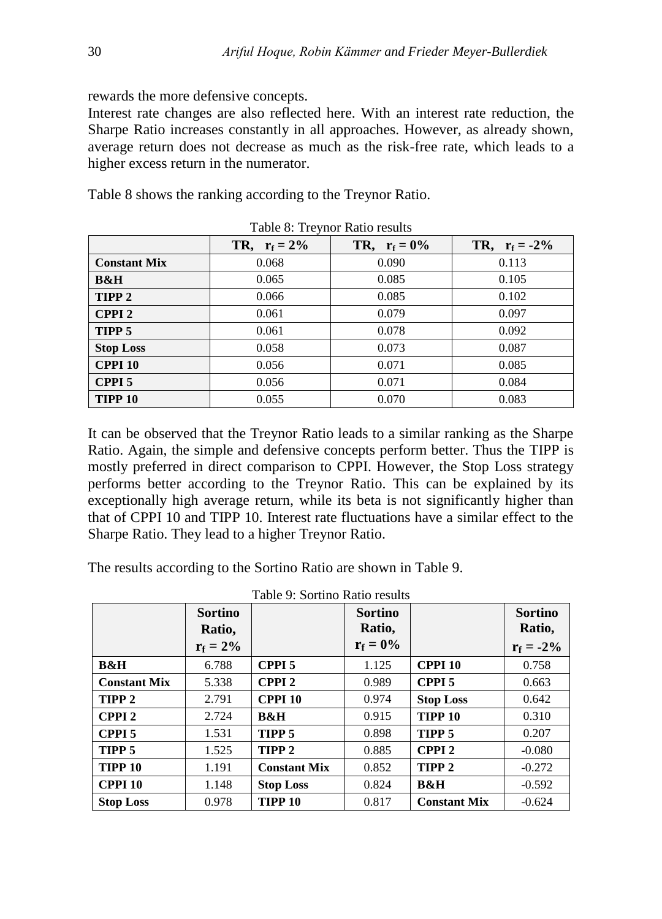rewards the more defensive concepts.

Interest rate changes are also reflected here. With an interest rate reduction, the Sharpe Ratio increases constantly in all approaches. However, as already shown, average return does not decrease as much as the risk-free rate, which leads to a higher excess return in the numerator.

Table 8 shows the ranking according to the Treynor Ratio.

|                     | TR, $r_f = 2\%$ | TR, $r_f = 0\%$ | TR, $r_f = -2\%$ |
|---------------------|-----------------|-----------------|------------------|
| <b>Constant Mix</b> | 0.068           | 0.090           | 0.113            |
| <b>B&amp;H</b>      | 0.065           | 0.085           | 0.105            |
| TIPP <sub>2</sub>   | 0.066           | 0.085           | 0.102            |
| <b>CPPI2</b>        | 0.061           | 0.079           | 0.097            |
| TIPP 5              | 0.061           | 0.078           | 0.092            |
| <b>Stop Loss</b>    | 0.058           | 0.073           | 0.087            |
| <b>CPPI 10</b>      | 0.056           | 0.071           | 0.085            |
| CPPI <sub>5</sub>   | 0.056           | 0.071           | 0.084            |
| <b>TIPP 10</b>      | 0.055           | 0.070           | 0.083            |

Table 8: Treynor Ratio results

It can be observed that the Treynor Ratio leads to a similar ranking as the Sharpe Ratio. Again, the simple and defensive concepts perform better. Thus the TIPP is mostly preferred in direct comparison to CPPI. However, the Stop Loss strategy performs better according to the Treynor Ratio. This can be explained by its exceptionally high average return, while its beta is not significantly higher than that of CPPI 10 and TIPP 10. Interest rate fluctuations have a similar effect to the Sharpe Ratio. They lead to a higher Treynor Ratio.

The results according to the Sortino Ratio are shown in Table 9.

| Table 9: Sortino Ratio results |                |                     |                |                     |                |  |
|--------------------------------|----------------|---------------------|----------------|---------------------|----------------|--|
|                                | <b>Sortino</b> |                     | <b>Sortino</b> |                     | <b>Sortino</b> |  |
|                                | Ratio,         |                     | Ratio,         |                     | Ratio,         |  |
|                                | $r_f = 2\%$    |                     | $r_f = 0\%$    |                     | $r_f = -2\%$   |  |
| <b>B&amp;H</b>                 | 6.788          | <b>CPPI5</b>        | 1.125          | <b>CPPI 10</b>      | 0.758          |  |
| <b>Constant Mix</b>            | 5.338          | <b>CPPI2</b>        | 0.989          | CPPI <sub>5</sub>   | 0.663          |  |
| TIPP <sub>2</sub>              | 2.791          | <b>CPPI 10</b>      | 0.974          | <b>Stop Loss</b>    | 0.642          |  |
| <b>CPPI2</b>                   | 2.724          | B&H                 | 0.915          | <b>TIPP 10</b>      | 0.310          |  |
| CPPI <sub>5</sub>              | 1.531          | TIPP <sub>5</sub>   | 0.898          | TIPP <sub>5</sub>   | 0.207          |  |
| TIPP 5                         | 1.525          | TIPP <sub>2</sub>   | 0.885          | <b>CPPI2</b>        | $-0.080$       |  |
| TIPP <sub>10</sub>             | 1.191          | <b>Constant Mix</b> | 0.852          | TIPP <sub>2</sub>   | $-0.272$       |  |
| <b>CPPI 10</b>                 | 1.148          | <b>Stop Loss</b>    | 0.824          | <b>B&amp;H</b>      | $-0.592$       |  |
| <b>Stop Loss</b>               | 0.978          | <b>TIPP 10</b>      | 0.817          | <b>Constant Mix</b> | $-0.624$       |  |

Table 9: Sortino Ratio results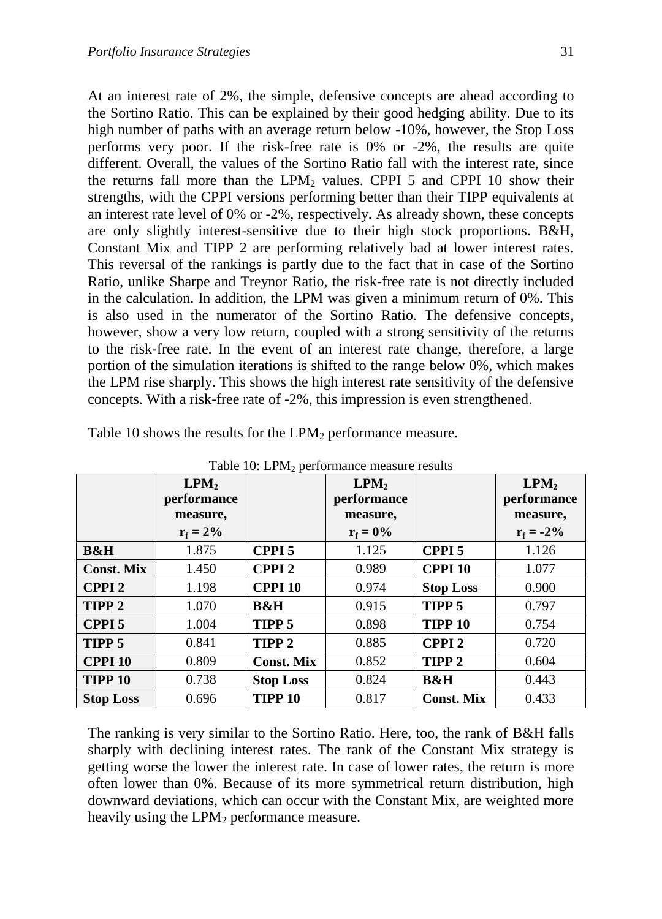At an interest rate of 2%, the simple, defensive concepts are ahead according to the Sortino Ratio. This can be explained by their good hedging ability. Due to its high number of paths with an average return below -10%, however, the Stop Loss performs very poor. If the risk-free rate is 0% or -2%, the results are quite different. Overall, the values of the Sortino Ratio fall with the interest rate, since the returns fall more than the  $LPM<sub>2</sub>$  values. CPPI 5 and CPPI 10 show their strengths, with the CPPI versions performing better than their TIPP equivalents at an interest rate level of 0% or -2%, respectively. As already shown, these concepts are only slightly interest-sensitive due to their high stock proportions. B&H, Constant Mix and TIPP 2 are performing relatively bad at lower interest rates. This reversal of the rankings is partly due to the fact that in case of the Sortino Ratio, unlike Sharpe and Treynor Ratio, the risk-free rate is not directly included in the calculation. In addition, the LPM was given a minimum return of 0%. This is also used in the numerator of the Sortino Ratio. The defensive concepts, however, show a very low return, coupled with a strong sensitivity of the returns to the risk-free rate. In the event of an interest rate change, therefore, a large portion of the simulation iterations is shifted to the range below 0%, which makes the LPM rise sharply. This shows the high interest rate sensitivity of the defensive concepts. With a risk-free rate of -2%, this impression is even strengthened.

| Table TO: LPM <sub>2</sub> performance measure results |                                 |                   |                                 |                   |                                 |  |
|--------------------------------------------------------|---------------------------------|-------------------|---------------------------------|-------------------|---------------------------------|--|
|                                                        | LPM <sub>2</sub><br>performance |                   | LPM <sub>2</sub><br>performance |                   | LPM <sub>2</sub><br>performance |  |
|                                                        | measure,<br>$r_f = 2\%$         |                   | measure,<br>$r_f = 0\%$         |                   | measure,<br>$r_f = -2\%$        |  |
|                                                        |                                 |                   |                                 |                   |                                 |  |
| <b>B&amp;H</b>                                         | 1.875                           | CPPI <sub>5</sub> | 1.125                           | CPPI <sub>5</sub> | 1.126                           |  |
| <b>Const. Mix</b>                                      | 1.450                           | <b>CPPI2</b>      | 0.989                           | <b>CPPI 10</b>    | 1.077                           |  |
| <b>CPPI2</b>                                           | 1.198                           | <b>CPPI 10</b>    | 0.974                           | <b>Stop Loss</b>  | 0.900                           |  |
| TIPP <sub>2</sub>                                      | 1.070                           | <b>B&amp;H</b>    | 0.915                           | TIPP <sub>5</sub> | 0.797                           |  |
| <b>CPPI5</b>                                           | 1.004                           | TIPP <sub>5</sub> | 0.898                           | <b>TIPP 10</b>    | 0.754                           |  |
| TIPP <sub>5</sub>                                      | 0.841                           | TIPP <sub>2</sub> | 0.885                           | <b>CPPI2</b>      | 0.720                           |  |
| <b>CPPI 10</b>                                         | 0.809                           | <b>Const. Mix</b> | 0.852                           | TIPP <sub>2</sub> | 0.604                           |  |
| <b>TIPP 10</b>                                         | 0.738                           | <b>Stop Loss</b>  | 0.824                           | <b>B&amp;H</b>    | 0.443                           |  |
| <b>Stop Loss</b>                                       | 0.696                           | <b>TIPP 10</b>    | 0.817                           | <b>Const. Mix</b> | 0.433                           |  |

Table 10 shows the results for the  $LPM_2$  performance measure.

 $T$  11: 10: LPM

The ranking is very similar to the Sortino Ratio. Here, too, the rank of B&H falls sharply with declining interest rates. The rank of the Constant Mix strategy is getting worse the lower the interest rate. In case of lower rates, the return is more often lower than 0%. Because of its more symmetrical return distribution, high downward deviations, which can occur with the Constant Mix, are weighted more heavily using the  $LPM<sub>2</sub>$  performance measure.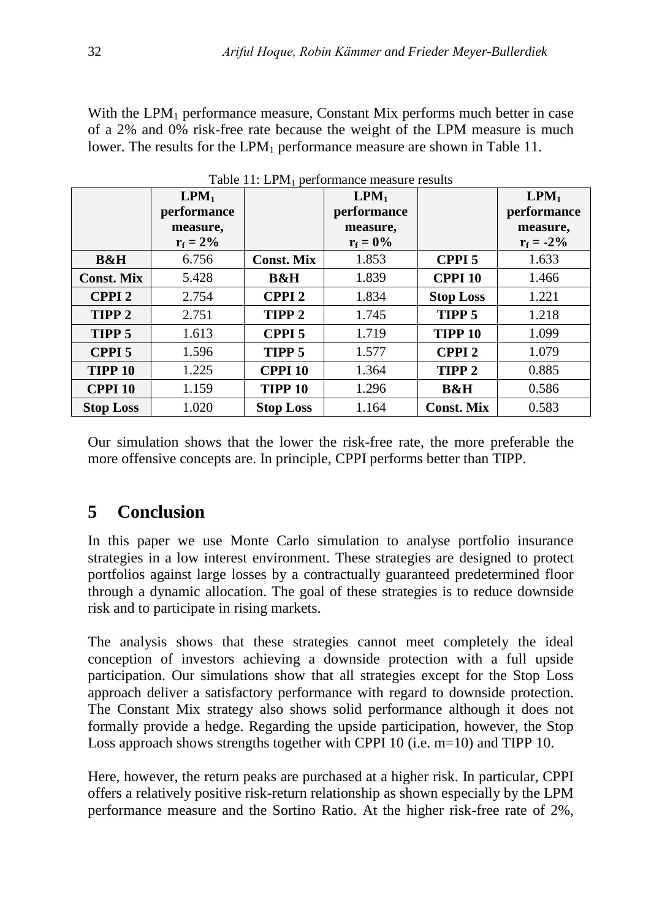With the  $LPM_1$  performance measure, Constant Mix performs much better in case of a 2% and 0% risk-free rate because the weight of the LPM measure is much lower. The results for the  $LPM_1$  performance measure are shown in Table 11.

| r aoit 77. Ei 1.1 performance measarc resaits |                                      |                   |                  |                   |                                      |
|-----------------------------------------------|--------------------------------------|-------------------|------------------|-------------------|--------------------------------------|
|                                               | $\mathbf{L} \mathbf{P} \mathbf{M}_1$ |                   | LPM <sub>1</sub> |                   | $\mathbf{L} \mathbf{P} \mathbf{M}_1$ |
|                                               | performance                          |                   | performance      |                   | performance                          |
|                                               | measure,                             |                   | measure,         |                   | measure,                             |
|                                               | $r_f = 2\%$                          |                   | $r_f = 0\%$      |                   | $r_f = -2\%$                         |
| <b>B&amp;H</b>                                | 6.756                                | <b>Const. Mix</b> | 1.853            | CPPI <sub>5</sub> | 1.633                                |
| <b>Const. Mix</b>                             | 5.428                                | <b>B&amp;H</b>    | 1.839            | <b>CPPI 10</b>    | 1.466                                |
| <b>CPPI2</b>                                  | 2.754                                | <b>CPPI2</b>      | 1.834            | <b>Stop Loss</b>  | 1.221                                |
| TIPP <sub>2</sub>                             | 2.751                                | TIPP <sub>2</sub> | 1.745            | TIPP <sub>5</sub> | 1.218                                |
| TIPP 5                                        | 1.613                                | <b>CPPI 5</b>     | 1.719            | <b>TIPP 10</b>    | 1.099                                |
| <b>CPPI5</b>                                  | 1.596                                | TIPP 5            | 1.577            | <b>CPPI2</b>      | 1.079                                |
| <b>TIPP 10</b>                                | 1.225                                | <b>CPPI 10</b>    | 1.364            | TIPP <sub>2</sub> | 0.885                                |
| <b>CPPI 10</b>                                | 1.159                                | <b>TIPP 10</b>    | 1.296            | <b>B&amp;H</b>    | 0.586                                |
| <b>Stop Loss</b>                              | 1.020                                | <b>Stop Loss</b>  | 1.164            | <b>Const. Mix</b> | 0.583                                |

Table  $11 \cdot IPM$ , performance measure results

Our simulation shows that the lower the risk-free rate, the more preferable the more offensive concepts are. In principle, CPPI performs better than TIPP.

# **5 Conclusion**

In this paper we use Monte Carlo simulation to analyse portfolio insurance strategies in a low interest environment. These strategies are designed to protect portfolios against large losses by a contractually guaranteed predetermined floor through a dynamic allocation. The goal of these strategies is to reduce downside risk and to participate in rising markets.

The analysis shows that these strategies cannot meet completely the ideal conception of investors achieving a downside protection with a full upside participation. Our simulations show that all strategies except for the Stop Loss approach deliver a satisfactory performance with regard to downside protection. The Constant Mix strategy also shows solid performance although it does not formally provide a hedge. Regarding the upside participation, however, the Stop Loss approach shows strengths together with CPPI 10 (i.e. m=10) and TIPP 10.

Here, however, the return peaks are purchased at a higher risk. In particular, CPPI offers a relatively positive risk-return relationship as shown especially by the LPM performance measure and the Sortino Ratio. At the higher risk-free rate of 2%,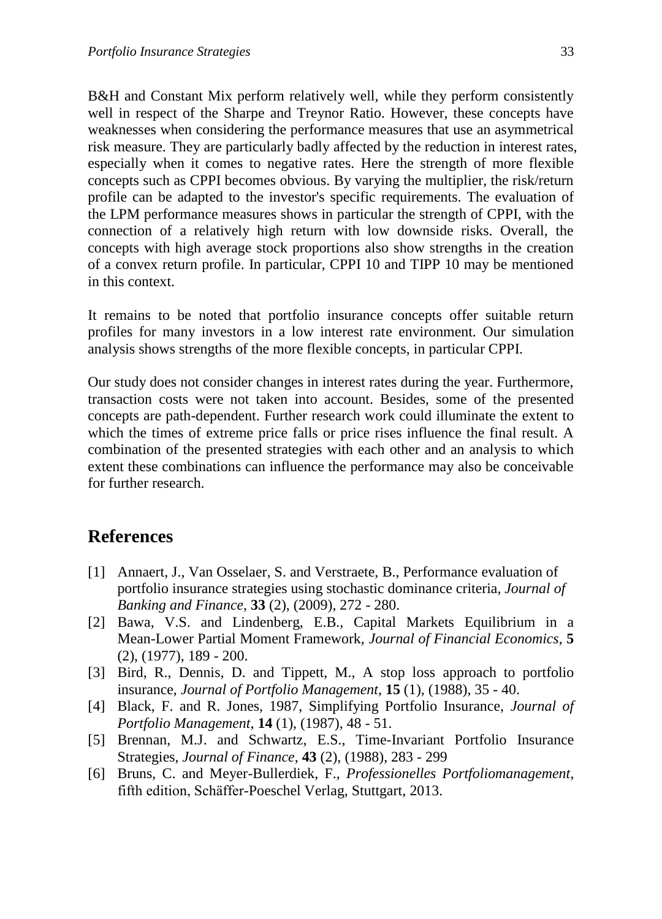B&H and Constant Mix perform relatively well, while they perform consistently well in respect of the Sharpe and Treynor Ratio. However, these concepts have weaknesses when considering the performance measures that use an asymmetrical risk measure. They are particularly badly affected by the reduction in interest rates, especially when it comes to negative rates. Here the strength of more flexible concepts such as CPPI becomes obvious. By varying the multiplier, the risk/return profile can be adapted to the investor's specific requirements. The evaluation of the LPM performance measures shows in particular the strength of CPPI, with the connection of a relatively high return with low downside risks. Overall, the concepts with high average stock proportions also show strengths in the creation of a convex return profile. In particular, CPPI 10 and TIPP 10 may be mentioned in this context.

It remains to be noted that portfolio insurance concepts offer suitable return profiles for many investors in a low interest rate environment. Our simulation analysis shows strengths of the more flexible concepts, in particular CPPI.

Our study does not consider changes in interest rates during the year. Furthermore, transaction costs were not taken into account. Besides, some of the presented concepts are path-dependent. Further research work could illuminate the extent to which the times of extreme price falls or price rises influence the final result. A combination of the presented strategies with each other and an analysis to which extent these combinations can influence the performance may also be conceivable for further research.

### **References**

- [1] Annaert, J., Van Osselaer, S. and Verstraete, B., Performance evaluation of portfolio insurance strategies using stochastic dominance criteria, *Journal of Banking and Finance*, **33** (2), (2009), 272 - 280.
- [2] Bawa, V.S. and Lindenberg, E.B., Capital Markets Equilibrium in a Mean-Lower Partial Moment Framework, *Journal of Financial Economics*, **5** (2), (1977), 189 - 200.
- [3] Bird, R., Dennis, D. and Tippett, M., A stop loss approach to portfolio insurance, *Journal of Portfolio Management*, **15** (1), (1988), 35 - 40.
- [4] Black, F. and R. Jones, 1987, Simplifying Portfolio Insurance, *Journal of Portfolio Management*, **14** (1), (1987), 48 - 51.
- [5] Brennan, M.J. and Schwartz, E.S., Time-Invariant Portfolio Insurance Strategies, *Journal of Finance*, **43** (2), (1988), 283 - 299
- [6] Bruns, C. and Meyer-Bullerdiek, F., *Professionelles Portfoliomanagement*, fifth edition, Schäffer-Poeschel Verlag, Stuttgart, 2013.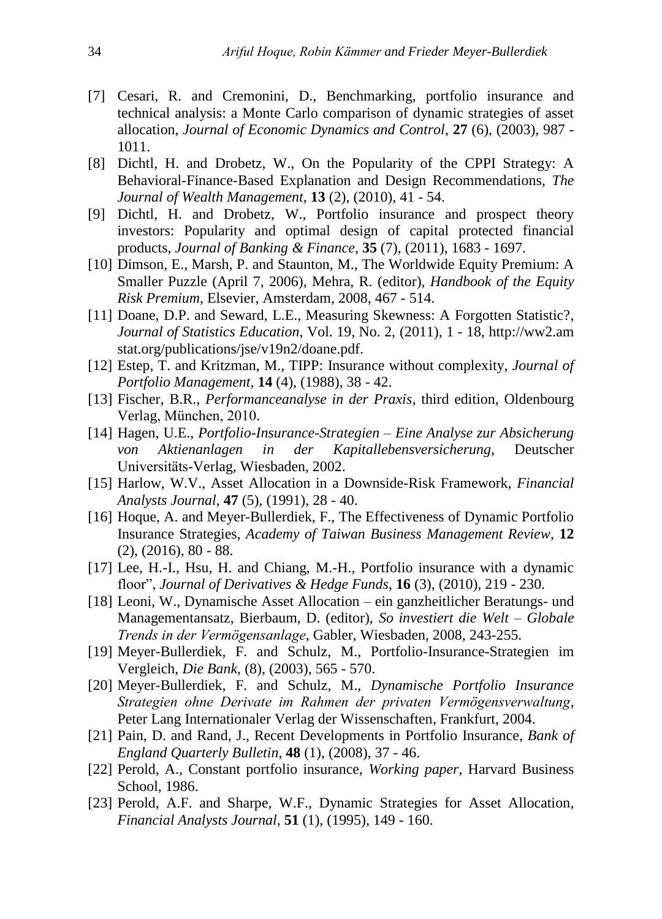- [7] Cesari, R. and Cremonini, D., Benchmarking, portfolio insurance and technical analysis: a Monte Carlo comparison of dynamic strategies of asset allocation, *Journal of Economic Dynamics and Control*, **27** (6), (2003), 987 - 1011.
- [8] Dichtl, H. and Drobetz, W., On the Popularity of the CPPI Strategy: A Behavioral-Finance-Based Explanation and Design Recommendations, *The Journal of Wealth Management*, **13** (2), (2010), 41 - 54.
- [9] Dichtl, H. and Drobetz, W., Portfolio insurance and prospect theory investors: Popularity and optimal design of capital protected financial products, *Journal of Banking & Finance*, **35** (7), (2011), 1683 - 1697.
- [10] Dimson, E., Marsh, P. and Staunton, M., The Worldwide Equity Premium: A Smaller Puzzle (April 7, 2006), Mehra, R. (editor), *Handbook of the Equity Risk Premium*, Elsevier, Amsterdam, 2008, 467 - 514.
- [11] Doane, D.P. and Seward, L.E., Measuring Skewness: A Forgotten Statistic?, *Journal of Statistics Education*, Vol. 19, No. 2, (2011), 1 - 18, http://ww2.am stat.org/publications/jse/v19n2/doane.pdf.
- [12] Estep, T. and Kritzman, M., TIPP: Insurance without complexity, *Journal of Portfolio Management*, **14** (4), (1988), 38 - 42.
- [13] Fischer, B.R., *Performanceanalyse in der Praxis*, third edition, Oldenbourg Verlag, München, 2010.
- [14] Hagen, U.E., *Portfolio-Insurance-Strategien – Eine Analyse zur Absicherung von Aktienanlagen in der Kapitallebensversicherung*, Deutscher Universitäts-Verlag, Wiesbaden, 2002.
- [15] Harlow, W.V., Asset Allocation in a Downside-Risk Framework, *Financial Analysts Journal*, **47** (5), (1991), 28 - 40.
- [16] Hoque, A. and Meyer-Bullerdiek, F., The Effectiveness of Dynamic Portfolio Insurance Strategies, *Academy of Taiwan Business Management Review*, **12** (2), (2016), 80 - 88.
- [17] Lee, H.-I., Hsu, H. and Chiang, M.-H., Portfolio insurance with a dynamic floor", *Journal of Derivatives & Hedge Funds*, **16** (3), (2010), 219 - 230.
- [18] Leoni, W., Dynamische Asset Allocation ein ganzheitlicher Beratungs- und Managementansatz, Bierbaum, D. (editor), *So investiert die Welt – Globale Trends in der Vermögensanlage*, Gabler, Wiesbaden, 2008, 243-255.
- [19] Meyer-Bullerdiek, F. and Schulz, M., Portfolio-Insurance-Strategien im Vergleich, *Die Bank*, (8), (2003), 565 - 570.
- [20] Meyer-Bullerdiek, F. and Schulz, M., *Dynamische Portfolio Insurance Strategien ohne Derivate im Rahmen der privaten Vermögensverwaltung*, Peter Lang Internationaler Verlag der Wissenschaften, Frankfurt, 2004.
- [21] Pain, D. and Rand, J., Recent Developments in Portfolio Insurance, *Bank of England Quarterly Bulletin*, **48** (1), (2008), 37 - 46.
- [22] Perold, A., Constant portfolio insurance, *Working paper*, Harvard Business School, 1986.
- [23] Perold, A.F. and Sharpe, W.F., Dynamic Strategies for Asset Allocation, *Financial Analysts Journal*, **51** (1), (1995), 149 - 160.